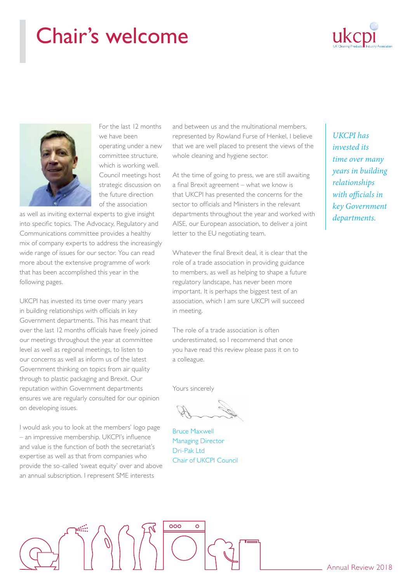### Chair's welcome





For the last 12 months we have been operating under a new committee structure, which is working well. Council meetings host strategic discussion on the future direction of the association

as well as inviting external experts to give insight into specific topics. The Advocacy, Regulatory and Communications committee provides a healthy mix of company experts to address the increasingly wide range of issues for our sector. You can read more about the extensive programme of work that has been accomplished this year in the following pages.

UKCPI has invested its time over many years in building relationships with officials in key Government departments. This has meant that over the last 12 months officials have freely joined our meetings throughout the year at committee level as well as regional meetings, to listen to our concerns as well as inform us of the latest Government thinking on topics from air quality through to plastic packaging and Brexit. Our reputation within Government departments ensures we are regularly consulted for our opinion on developing issues.

I would ask you to look at the members' logo page – an impressive membership. UKCPI's influence and value is the function of both the secretariat's expertise as well as that from companies who provide the so-called 'sweat equity' over and above an annual subscription. I represent SME interests

and between us and the multinational members, represented by Rowland Furse of Henkel, I believe that we are well placed to present the views of the whole cleaning and hygiene sector.

At the time of going to press, we are still awaiting a final Brexit agreement – what we know is that UKCPI has presented the concerns for the sector to officials and Ministers in the relevant departments throughout the year and worked with AISE, our European association, to deliver a joint letter to the EU negotiating team.

Whatever the final Brexit deal, it is clear that the role of a trade association in providing guidance to members, as well as helping to shape a future regulatory landscape, has never been more important. It is perhaps the biggest test of an association, which I am sure UKCPI will succeed in meeting.

The role of a trade association is often underestimated, so I recommend that once you have read this review please pass it on to a colleague.

Yours sincerely

Bruce Maxwell Managing Director Dri-Pak Ltd Chair of UKCPI Council

*UKCPI has invested its time over many years in building relationships with officials in key Government departments.*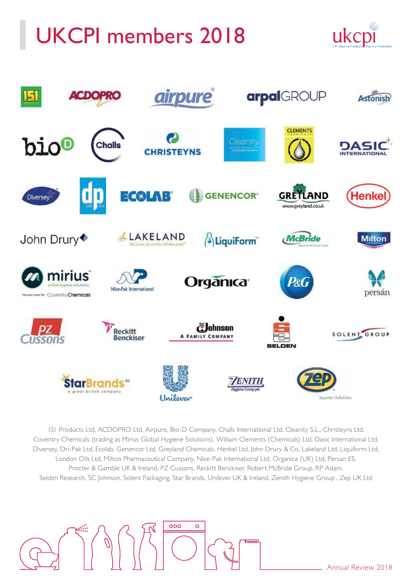## UKCPI members 2018





151 Products Ltd, ACDOPRO Ltd, Airpure, Bio-D Company, Challs International Ltd, Cleanity S.L., Christeyns Ltd, Coventry Chemicals (trading as Mirius Global Hygiene Solutions), William Clements (Chemicals) Ltd, Dasic International Ltd, Diversey, Dri-Pak Ltd, Ecolab, Genencor Ltd, Greyland Chemicals, Henkel Ltd, John Drury & Co, Lakeland Ltd, Liquiform Ltd, London Oils Ltd, Milton Pharmaceutical Company, Nice-Pak International Ltd, Organica (UK) Ltd, Persan ES, Procter & Gamble UK & Ireland, PZ Cussons, Reckitt Benckiser, Robert McBride Group, RP Adam, Selden Research, SC Johnson, Solent Packaging, Star Brands, Unilever UK & Ireland, Zenith Hygiene Group , Zep UK Ltd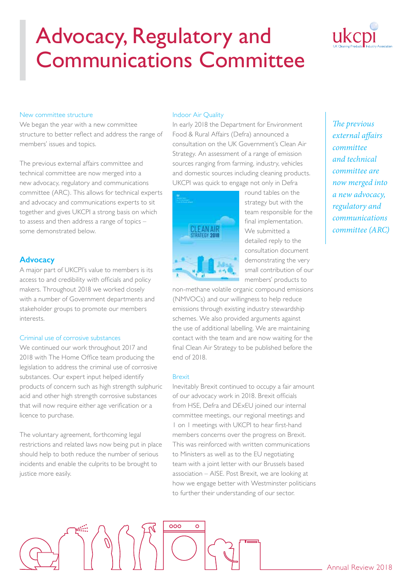

#### New committee structure

We began the year with a new committee structure to better reflect and address the range of members' issues and topics.

The previous external affairs committee and technical committee are now merged into a new advocacy, regulatory and communications committee (ARC). This allows for technical experts and advocacy and communications experts to sit together and gives UKCPI a strong basis on which to assess and then address a range of topics – some demonstrated below.

### **Advocacy**

A major part of UKCPI's value to members is its access to and credibility with officials and policy makers. Throughout 2018 we worked closely with a number of Government departments and stakeholder groups to promote our members interests.

### Criminal use of corrosive substances

We continued our work throughout 2017 and 2018 with The Home Office team producing the legislation to address the criminal use of corrosive substances. Our expert input helped identify products of concern such as high strength sulphuric acid and other high strength corrosive substances that will now require either age verification or a licence to purchase.

The voluntary agreement, forthcoming legal restrictions and related laws now being put in place should help to both reduce the number of serious incidents and enable the culprits to be brought to justice more easily.

### Indoor Air Quality

In early 2018 the Department for Environment Food & Rural Affairs (Defra) announced a consultation on the UK Government's Clean Air Strategy. An assessment of a range of emission sources ranging from farming, industry, vehicles and domestic sources including cleaning products. UKCPI was quick to engage not only in Defra



round tables on the strategy but with the team responsible for the final implementation. We submitted a detailed reply to the consultation document demonstrating the very small contribution of our members' products to

non-methane volatile organic compound emissions (NMVOCs) and our willingness to help reduce emissions through existing industry stewardship schemes. We also provided arguments against the use of additional labelling. We are maintaining contact with the team and are now waiting for the final Clean Air Strategy to be published before the end of 2018.

#### Brexit

Inevitably Brexit continued to occupy a fair amount of our advocacy work in 2018. Brexit officials from HSE, Defra and DExEU joined our internal committee meetings, our regional meetings and 1 on 1 meetings with UKCPI to hear first-hand members concerns over the progress on Brexit. This was reinforced with written communications to Ministers as well as to the EU negotiating team with a joint letter with our Brussels based association – AISE. Post Brexit, we are looking at how we engage better with Westminster politicians to further their understanding of our sector.

*The previous external affairs committee and technical committee are now merged into a new advocacy, regulatory and communications committee (ARC)*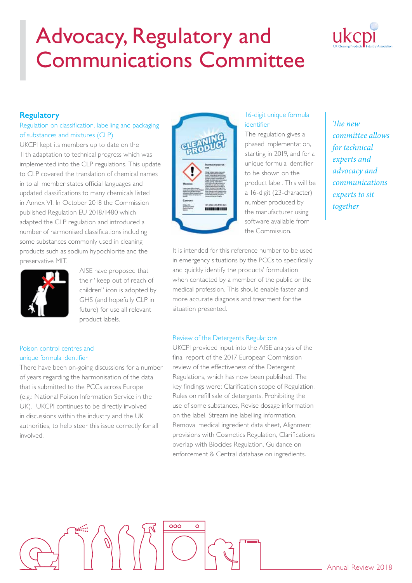

### **Regulatory**

### Regulation on classification, labelling and packaging of substances and mixtures (CLP)

UKCPI kept its members up to date on the 11th adaptation to technical progress which was implemented into the CLP regulations. This update to CLP covered the translation of chemical names in to all member states official languages and updated classifications to many chemicals listed in Annex VI. In October 2018 the Commission published Regulation EU 2018/1480 which adapted the CLP regulation and introduced a number of harmonised classifications including some substances commonly used in cleaning products such as sodium hypochlorite and the preservative MIT.



AISE have proposed that their "keep out of reach of children" icon is adopted by GHS (and hopefully CLP in future) for use all relevant product labels.

### Poison control centres and unique formula identifier

There have been on-going discussions for a number of years regarding the harmonisation of the data that is submitted to the PCCs across Europe (e.g.: National Poison Information Service in the UK). UKCPI continues to be directly involved in discussions within the industry and the UK authorities, to help steer this issue correctly for all involved.



### 16-digit unique formula identifier

The regulation gives a phased implementation, starting in 2019, and for a unique formula identifier to be shown on the product label. This will be a 16-digit (23-character) number produced by the manufacturer using software available from the Commission.

*The new committee allows for technical experts and advocacy and communications experts to sit together*

It is intended for this reference number to be used in emergency situations by the PCCs to specifically and quickly identify the products' formulation when contacted by a member of the public or the medical profession. This should enable faster and more accurate diagnosis and treatment for the situation presented.

### Review of the Detergents Regulations

000

UKCPI provided input into the AISE analysis of the final report of the 2017 European Commission review of the effectiveness of the Detergent Regulations, which has now been published. The key findings were: Clarification scope of Regulation, Rules on refill sale of detergents, Prohibiting the use of some substances, Revise dosage information on the label, Streamline labelling information, Removal medical ingredient data sheet, Alignment provisions with Cosmetics Regulation, Clarifications overlap with Biocides Regulation, Guidance on enforcement & Central database on ingredients.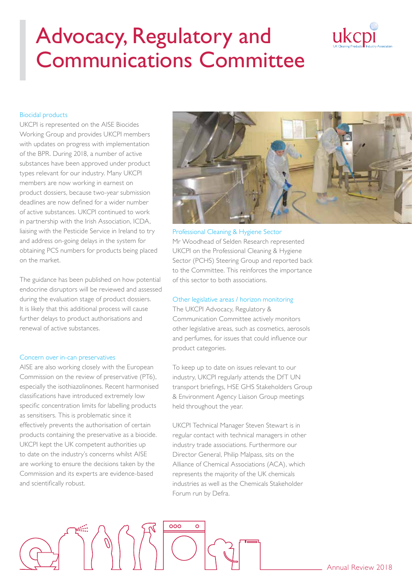# ukcpi

### Biocidal products

UKCPI is represented on the AISE Biocides Working Group and provides UKCPI members with updates on progress with implementation of the BPR. During 2018, a number of active substances have been approved under product types relevant for our industry. Many UKCPI members are now working in earnest on product dossiers, because two-year submission deadlines are now defined for a wider number of active substances. UKCPI continued to work in partnership with the Irish Association, ICDA, liaising with the Pesticide Service in Ireland to try and address on-going delays in the system for obtaining PCS numbers for products being placed on the market.

The guidance has been published on how potential endocrine disruptors will be reviewed and assessed during the evaluation stage of product dossiers. It is likely that this additional process will cause further delays to product authorisations and renewal of active substances.

#### Concern over in-can preservatives

AISE are also working closely with the European Commission on the review of preservative (PT6), especially the isothiazolinones. Recent harmonised classifications have introduced extremely low specific concentration limits for labelling products as sensitisers. This is problematic since it effectively prevents the authorisation of certain products containing the preservative as a biocide. UKCPI kept the UK competent authorities up to date on the industry's concerns whilst AISE are working to ensure the decisions taken by the Commission and its experts are evidence-based and scientifically robust.

 $\left\langle \begin{array}{c} \varphi \\ \varphi \end{array} \right\rangle$ 



#### Professional Cleaning & Hygiene Sector

Mr Woodhead of Selden Research represented UKCPI on the Professional Cleaning & Hygiene Sector (PCHS) Steering Group and reported back to the Committee. This reinforces the importance of this sector to both associations.

#### Other legislative areas / horizon monitoring

The UKCPI Advocacy, Regulatory & Communication Committee actively monitors other legislative areas, such as cosmetics, aerosols and perfumes, for issues that could influence our product categories.

To keep up to date on issues relevant to our industry, UKCPI regularly attends the DfT UN transport briefings, HSE GHS Stakeholders Group & Environment Agency Liaison Group meetings held throughout the year.

UKCPI Technical Manager Steven Stewart is in regular contact with technical managers in other industry trade associations. Furthermore our Director General, Philip Malpass, sits on the Alliance of Chemical Associations (ACA), which represents the majority of the UK chemicals industries as well as the Chemicals Stakeholder Forum run by Defra.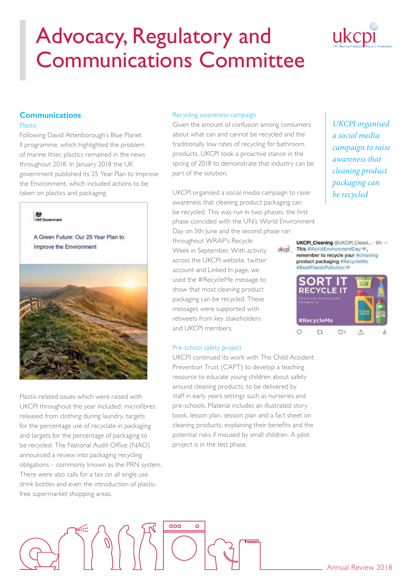

### **Communications**

### Plastic

Following David Attenborough's Blue Planet II programme, which highlighted the problem of marine litter, plastics remained in the news throughout 2018. In January 2018 the UK government published its 25 Year Plan to Improve the Environment, which included actions to be taken on plastics and packaging.



Plastic-related issues which were raised with UKCPI throughout the year included: microfibres released from clothing during laundry, targets for the percentage use of recyclate in packaging and targets for the percentage of packaging to be recycled. The National Audit Office (NAO) announced a review into packaging recycling obligations – commonly known as the PRN system. There were also calls for a tax on all single use drink bottles and even the introduction of plasticfree supermarket shopping areas.

### Recycling awareness campaign

Given the amount of confusion among consumers about what can and cannot be recycled and the traditionally low rates of recycling for bathroom products, UKCPI took a proactive stance in the spring of 2018 to demonstrate that industry can be part of the solution.

UKCPI organised a social media campaign to raise awareness that cleaning product packaging can be recycled. This was run in two phases, the first phase coincided with the UN's World Environment Day on 5th June and the second phase ran

ikenī

throughout WRAP's Recycle Week in September. With activity across the UKCPI website, twitter account and Linked In page, we used the #RecycleMe message to show that most cleaning product packaging can be recycled. These messages were supported with retweets from key stakeholders and UKCPI members.

### Pre-school safety project

UKCPI continued its work with The Child Accident Prevention Trust (CAPT) to develop a teaching resource to educate young children about safety around cleaning products, to be delivered by staff in early years settings such as nurseries and pre-schools. Material includes an illustrated story book, lesson plan, session plan and a fact sheet on cleaning products, explaining their benefits and the potential risks if misused by small children. A pilot project is in the test phase.

*UKCPI organised a social media campaign to raise awareness that cleaning product packaging can be recycled*

UKCPI\_Cleaning @UKCPI\_Cleani... . 5h ~ This #WorldEnvironmentDay remember to recycle your #cleaning product packaging #RecycleMe #BeatPlasticPollution

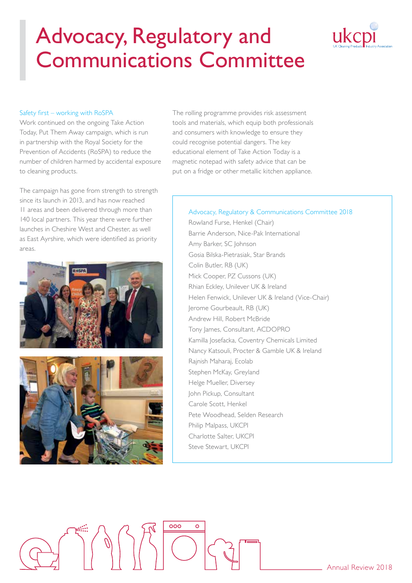# ukcpi

### Safety first – working with RoSPA

Work continued on the ongoing Take Action Today, Put Them Away campaign, which is run in partnership with the Royal Society for the Prevention of Accidents (RoSPA) to reduce the number of children harmed by accidental exposure to cleaning products.

The campaign has gone from strength to strength since its launch in 2013, and has now reached 11 areas and been delivered through more than 140 local partners. This year there were further launches in Cheshire West and Chester, as well as East Ayrshire, which were identified as priority areas.





The rolling programme provides risk assessment tools and materials, which equip both professionals and consumers with knowledge to ensure they could recognise potential dangers. The key educational element of Take Action Today is a magnetic notepad with safety advice that can be put on a fridge or other metallic kitchen appliance.

### Advocacy, Regulatory & Communications Committee 2018

Rowland Furse, Henkel (Chair) Barrie Anderson, Nice-Pak International Amy Barker, SC Johnson Gosia Bilska-Pietrasiak, Star Brands Colin Butler, RB (UK) Mick Cooper, PZ Cussons (UK) Rhian Eckley, Unilever UK & Ireland Helen Fenwick, Unilever UK & Ireland (Vice-Chair) Jerome Gourbeault, RB (UK) Andrew Hill, Robert McBride Tony James, Consultant, ACDOPRO Kamilla Josefacka, Coventry Chemicals Limited Nancy Katsouli, Procter & Gamble UK & Ireland Rajnish Maharaj, Ecolab Stephen McKay, Greyland Helge Mueller, Diversey John Pickup, Consultant Carole Scott, Henkel Pete Woodhead, Selden Research Philip Malpass, UKCPI Charlotte Salter, UKCPI Steve Stewart, UKCPI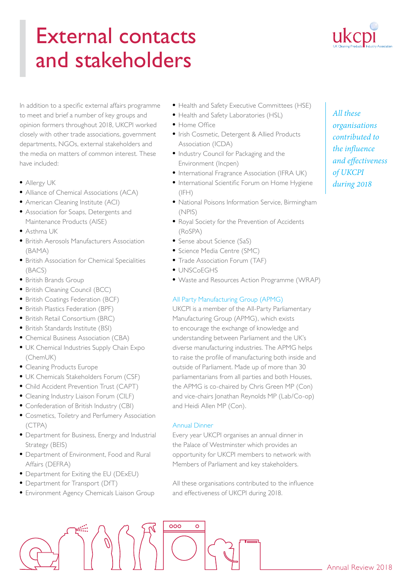### External contacts and stakeholders



In addition to a specific external affairs programme to meet and brief a number of key groups and opinion formers throughout 2018, UKCPI worked closely with other trade associations, government departments, NGOs, external stakeholders and the media on matters of common interest. These have included:

- Allergy UK
- Alliance of Chemical Associations (ACA)
- American Cleaning Institute (ACI)
- Association for Soaps, Detergents and Maintenance Products (AISE)
- Asthma UK
- British Aerosols Manufacturers Association (BAMA)
- British Association for Chemical Specialities (BACS)
- British Brands Group
- British Cleaning Council (BCC)
- British Coatings Federation (BCF)
- British Plastics Federation (BPF)
- British Retail Consortium (BRC)
- British Standards Institute (BSI)
- Chemical Business Association (CBA)
- UK Chemical Industries Supply Chain Expo (ChemUK)
- Cleaning Products Europe
- UK Chemicals Stakeholders Forum (CSF)
- Child Accident Prevention Trust (CAPT)
- Cleaning Industry Liaison Forum (CILF)
- Confederation of British Industry (CBI)
- Cosmetics, Toiletry and Perfumery Association (CTPA)
- Department for Business, Energy and Industrial Strategy (BEIS)
- Department of Environment, Food and Rural Affairs (DEFRA)
- Department for Exiting the EU (DExEU)
- Department for Transport (DfT)
- Environment Agency Chemicals Liaison Group
- Health and Safety Executive Committees (HSE)
- Health and Safety Laboratories (HSL)
- Home Office
- Irish Cosmetic, Detergent & Allied Products Association (ICDA)
- Industry Council for Packaging and the Environment (Incpen)
- International Fragrance Association (IFRA UK)
- International Scientific Forum on Home Hygiene  $(IFH)$
- National Poisons Information Service, Birmingham (NPIS)
- Royal Society for the Prevention of Accidents (RoSPA)
- Sense about Science (SaS)
- Science Media Centre (SMC)
- Trade Association Forum (TAF)
- UNSCoEGHS
- Waste and Resources Action Programme (WRAP)

### All Party Manufacturing Group (APMG)

UKCPI is a member of the All-Party Parliamentary Manufacturing Group (APMG), which exists to encourage the exchange of knowledge and understanding between Parliament and the UK's diverse manufacturing industries. The APMG helps to raise the profile of manufacturing both inside and outside of Parliament. Made up of more than 30 parliamentarians from all parties and both Houses, the APMG is co-chaired by Chris Green MP (Con) and vice-chairs Jonathan Reynolds MP (Lab/Co-op) and Heidi Allen MP (Con).

### Annual Dinner

Every year UKCPI organises an annual dinner in the Palace of Westminster which provides an opportunity for UKCPI members to network with Members of Parliament and key stakeholders.

All these organisations contributed to the influence and effectiveness of UKCPI during 2018.

*All these*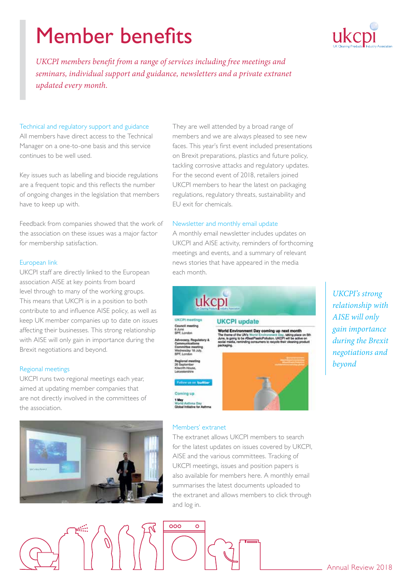### Member benefits



*UKCPI members benefit from a range of services including free meetings and seminars, individual support and guidance, newsletters and a private extranet updated every month.*

### Technical and regulatory support and guidance

All members have direct access to the Technical Manager on a one-to-one basis and this service continues to be well used.

Key issues such as labelling and biocide regulations are a frequent topic and this reflects the number of ongoing changes in the legislation that members have to keep up with.

Feedback from companies showed that the work of the association on these issues was a major factor for membership satisfaction.

### European link

UKCPI staff are directly linked to the European association AISE at key points from board level through to many of the working groups. This means that UKCPI is in a position to both contribute to and influence AISE policy, as well as keep UK member companies up to date on issues affecting their businesses. This strong relationship with AISE will only gain in importance during the Brexit negotiations and beyond.

### Regional meetings

UKCPI runs two regional meetings each year, aimed at updating member companies that are not directly involved in the committees of the association.



They are well attended by a broad range of members and we are always pleased to see new faces. This year's first event included presentations on Brexit preparations, plastics and future policy, tackling corrosive attacks and regulatory updates. For the second event of 2018, retailers joined UKCPI members to hear the latest on packaging regulations, regulatory threats, sustainability and EU exit for chemicals.

### Newsletter and monthly email update

A monthly email newsletter includes updates on UKCPI and AISE activity, reminders of forthcoming meetings and events, and a summary of relevant news stories that have appeared in the media each month.



### Members' extranet

 $\circ$ 

000

The extranet allows UKCPI members to search for the latest updates on issues covered by UKCPI, AISE and the various committees. Tracking of UKCPI meetings, issues and position papers is also available for members here. A monthly email summarises the latest documents uploaded to the extranet and allows members to click through and log in.

*UKCPI's strong relationship with AISE will only gain importance during the Brexit negotiations and beyond*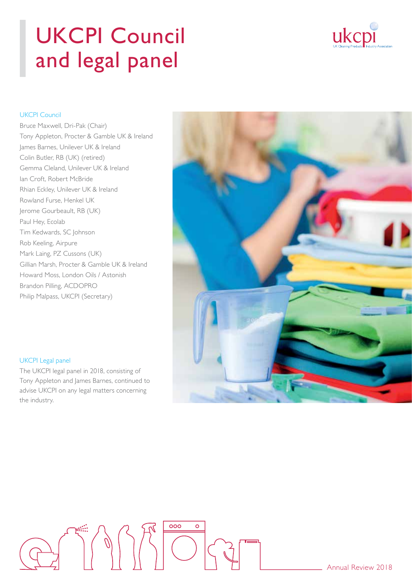### UKCPI Council and legal panel



### UKCPI Council

Bruce Maxwell, Dri-Pak (Chair) Tony Appleton, Procter & Gamble UK & Ireland James Barnes, Unilever UK & Ireland Colin Butler, RB (UK) (retired) Gemma Cleland, Unilever UK & Ireland Ian Croft, Robert McBride Rhian Eckley, Unilever UK & Ireland Rowland Furse, Henkel UK Jerome Gourbeault, RB (UK) Paul Hey, Ecolab Tim Kedwards, SC Johnson Rob Keeling, Airpure Mark Laing, PZ Cussons (UK) Gillian Marsh, Procter & Gamble UK & Ireland Howard Moss, London Oils / Astonish Brandon Pilling, ACDOPRO Philip Malpass, UKCPI (Secretary)



#### UKCPI Legal panel

The UKCPI legal panel in 2018, consisting of Tony Appleton and James Barnes, continued to advise UKCPI on any legal matters concerning the industry.